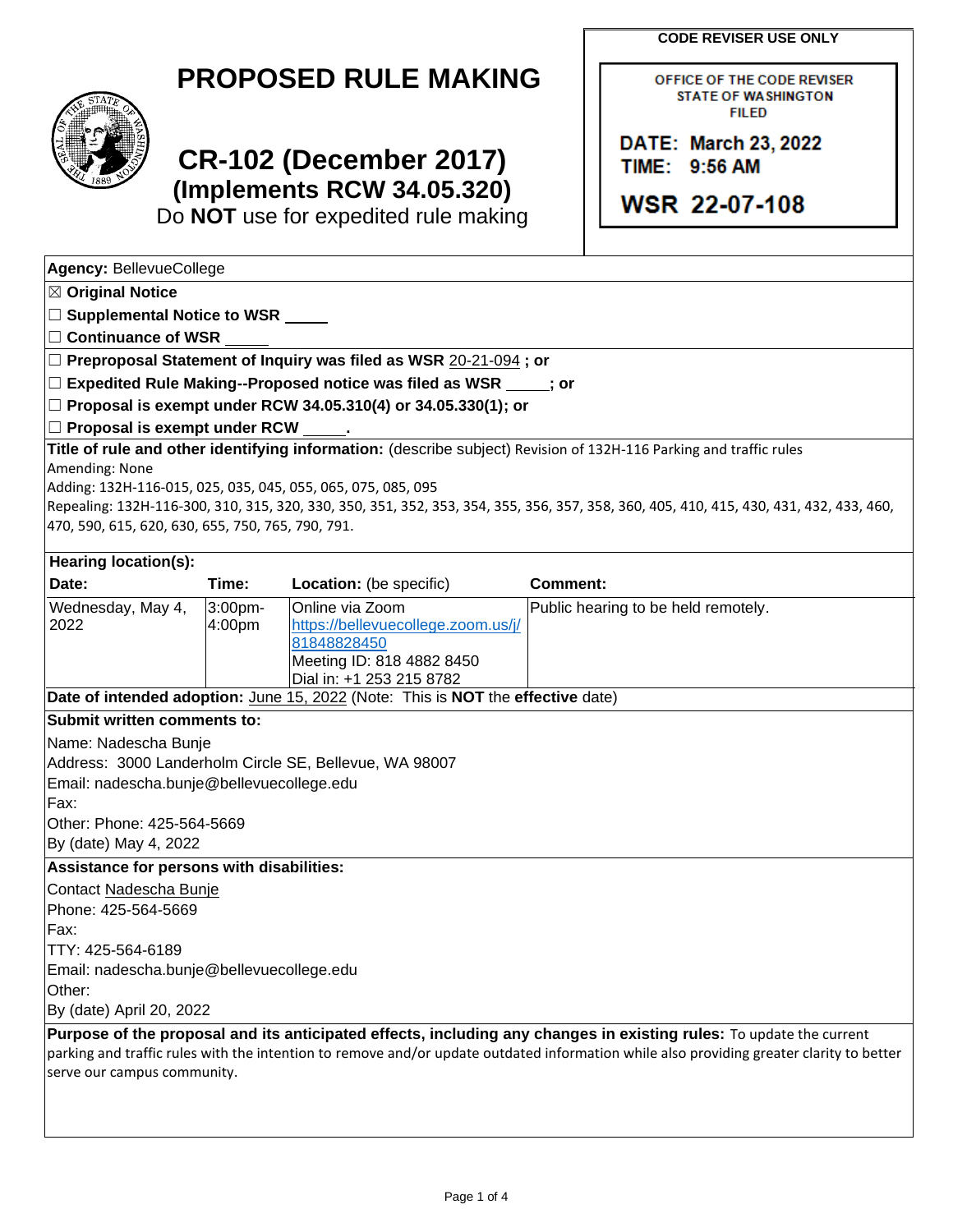**CODE REVISER USE ONLY**

OFFICE OF THE CODE REVISER **STATE OF WASHINGTON FILED** 

DATE: March 23, 2022

**WSR 22-07-108** 

TIME: 9:56 AM

| <b>PROPOSED RULE MAKING</b> |  |  |
|-----------------------------|--|--|
|-----------------------------|--|--|



## **CR-102 (December 2017) (Implements RCW 34.05.320)**

Do **NOT** use for expedited rule making

| Agency: BellevueCollege                                                                                                                                       |                   |                                                                                                                               |                 |                                                                                                                                                                                                                                                                 |
|---------------------------------------------------------------------------------------------------------------------------------------------------------------|-------------------|-------------------------------------------------------------------------------------------------------------------------------|-----------------|-----------------------------------------------------------------------------------------------------------------------------------------------------------------------------------------------------------------------------------------------------------------|
| $\boxtimes$ Original Notice                                                                                                                                   |                   |                                                                                                                               |                 |                                                                                                                                                                                                                                                                 |
| □ Supplemental Notice to WSR <u>■ ■ ■</u>                                                                                                                     |                   |                                                                                                                               |                 |                                                                                                                                                                                                                                                                 |
| $\Box$ Continuance of WSR                                                                                                                                     |                   |                                                                                                                               |                 |                                                                                                                                                                                                                                                                 |
|                                                                                                                                                               |                   | □ Preproposal Statement of Inquiry was filed as WSR 20-21-094; or                                                             |                 |                                                                                                                                                                                                                                                                 |
|                                                                                                                                                               |                   | $\Box$ Expedited Rule Making--Proposed notice was filed as WSR $\Box$ ; or                                                    |                 |                                                                                                                                                                                                                                                                 |
|                                                                                                                                                               |                   | $\Box$ Proposal is exempt under RCW 34.05.310(4) or 34.05.330(1); or                                                          |                 |                                                                                                                                                                                                                                                                 |
| $\Box$ Proposal is exempt under RCW                                                                                                                           |                   |                                                                                                                               |                 |                                                                                                                                                                                                                                                                 |
| Amending: None<br>Adding: 132H-116-015, 025, 035, 045, 055, 065, 075, 085, 095<br>470, 590, 615, 620, 630, 655, 750, 765, 790, 791.                           |                   | Title of rule and other identifying information: (describe subject) Revision of 132H-116 Parking and traffic rules            |                 | Repealing: 132H-116-300, 310, 315, 320, 330, 350, 351, 352, 353, 354, 355, 356, 357, 358, 360, 405, 410, 415, 430, 431, 432, 433, 460,                                                                                                                          |
| <b>Hearing location(s):</b>                                                                                                                                   |                   |                                                                                                                               |                 |                                                                                                                                                                                                                                                                 |
| Date:                                                                                                                                                         | Time:             | Location: (be specific)                                                                                                       | <b>Comment:</b> |                                                                                                                                                                                                                                                                 |
| Wednesday, May 4,<br>2022                                                                                                                                     | 3:00pm-<br>4:00pm | Online via Zoom<br>https://bellevuecollege.zoom.us/j/<br>81848828450<br>Meeting ID: 818 4882 8450<br>Dial in: +1 253 215 8782 |                 | Public hearing to be held remotely.                                                                                                                                                                                                                             |
|                                                                                                                                                               |                   | Date of intended adoption: June 15, 2022 (Note: This is NOT the effective date)                                               |                 |                                                                                                                                                                                                                                                                 |
| Submit written comments to:                                                                                                                                   |                   |                                                                                                                               |                 |                                                                                                                                                                                                                                                                 |
| Name: Nadescha Bunje<br>Email: nadescha.bunje@bellevuecollege.edu<br>Fax:<br>Other: Phone: 425-564-5669<br>By (date) May 4, 2022                              |                   | Address: 3000 Landerholm Circle SE, Bellevue, WA 98007                                                                        |                 |                                                                                                                                                                                                                                                                 |
| Assistance for persons with disabilities:                                                                                                                     |                   |                                                                                                                               |                 |                                                                                                                                                                                                                                                                 |
| Contact Nadescha Bunje<br>Phone: 425-564-5669<br>Fax:<br>TTY: 425-564-6189<br>Email: nadescha.bunje@bellevuecollege.edu<br>Other:<br>By (date) April 20, 2022 |                   |                                                                                                                               |                 |                                                                                                                                                                                                                                                                 |
| serve our campus community.                                                                                                                                   |                   |                                                                                                                               |                 | Purpose of the proposal and its anticipated effects, including any changes in existing rules: To update the current<br>parking and traffic rules with the intention to remove and/or update outdated information while also providing greater clarity to better |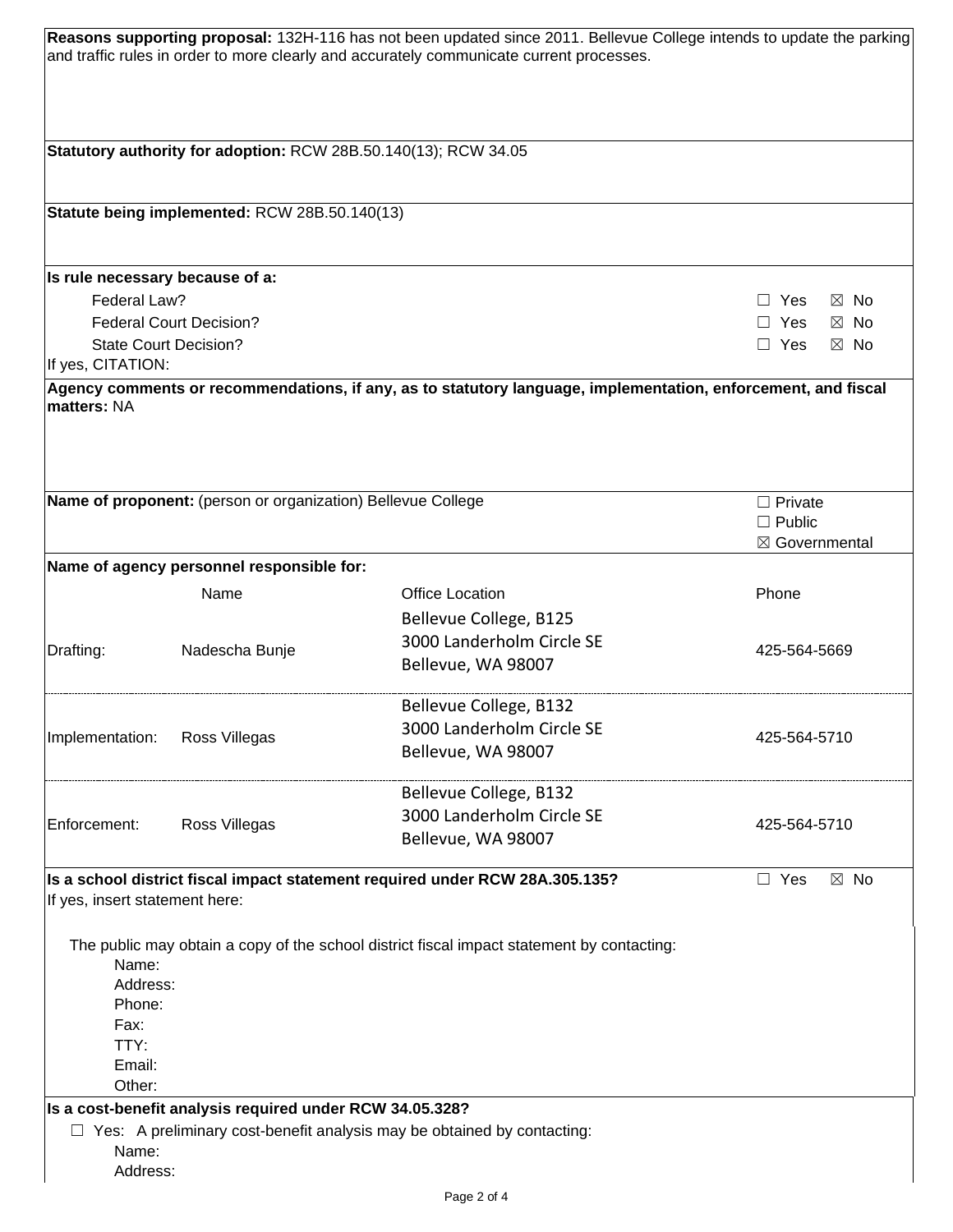|                                                                 |                                                              | Reasons supporting proposal: 132H-116 has not been updated since 2011. Bellevue College intends to update the parking<br>and traffic rules in order to more clearly and accurately communicate current processes. |                                                   |  |
|-----------------------------------------------------------------|--------------------------------------------------------------|-------------------------------------------------------------------------------------------------------------------------------------------------------------------------------------------------------------------|---------------------------------------------------|--|
|                                                                 |                                                              | Statutory authority for adoption: RCW 28B.50.140(13); RCW 34.05                                                                                                                                                   |                                                   |  |
|                                                                 |                                                              |                                                                                                                                                                                                                   |                                                   |  |
|                                                                 | Statute being implemented: RCW 28B.50.140(13)                |                                                                                                                                                                                                                   |                                                   |  |
| Is rule necessary because of a:                                 |                                                              |                                                                                                                                                                                                                   |                                                   |  |
| Federal Law?                                                    |                                                              |                                                                                                                                                                                                                   | Yes<br>$\boxtimes$ No<br>$\perp$                  |  |
|                                                                 | <b>Federal Court Decision?</b>                               |                                                                                                                                                                                                                   | $\Box$ Yes<br>$\boxtimes$ No                      |  |
|                                                                 | <b>State Court Decision?</b>                                 |                                                                                                                                                                                                                   | $\Box$ Yes<br>$\boxtimes$ No                      |  |
| If yes, CITATION:                                               |                                                              | Agency comments or recommendations, if any, as to statutory language, implementation, enforcement, and fiscal                                                                                                     |                                                   |  |
| matters: NA                                                     |                                                              |                                                                                                                                                                                                                   |                                                   |  |
|                                                                 | Name of proponent: (person or organization) Bellevue College |                                                                                                                                                                                                                   | $\Box$ Private<br>$\Box$ Public<br>⊠ Governmental |  |
|                                                                 | Name of agency personnel responsible for:                    |                                                                                                                                                                                                                   |                                                   |  |
|                                                                 | Name                                                         | <b>Office Location</b>                                                                                                                                                                                            | Phone                                             |  |
|                                                                 |                                                              | Bellevue College, B125                                                                                                                                                                                            |                                                   |  |
|                                                                 |                                                              | 3000 Landerholm Circle SE                                                                                                                                                                                         |                                                   |  |
| Drafting:                                                       | Nadescha Bunje                                               | Bellevue, WA 98007                                                                                                                                                                                                | 425-564-5669                                      |  |
|                                                                 |                                                              | Bellevue College, B132                                                                                                                                                                                            |                                                   |  |
| Implementation:                                                 | Ross Villegas                                                | 3000 Landerholm Circle SE                                                                                                                                                                                         | 425-564-5710                                      |  |
|                                                                 |                                                              | Bellevue, WA 98007                                                                                                                                                                                                |                                                   |  |
|                                                                 |                                                              | Bellevue College, B132                                                                                                                                                                                            |                                                   |  |
| Enforcement:                                                    | Ross Villegas                                                | 3000 Landerholm Circle SE                                                                                                                                                                                         | 425-564-5710                                      |  |
|                                                                 |                                                              | Bellevue, WA 98007                                                                                                                                                                                                |                                                   |  |
| If yes, insert statement here:                                  |                                                              | Is a school district fiscal impact statement required under RCW 28A.305.135?                                                                                                                                      | $\boxtimes$ No<br>$\Box$ Yes                      |  |
| Name:<br>Address:<br>Phone:<br>Fax:<br>TTY:<br>Email:<br>Other: |                                                              | The public may obtain a copy of the school district fiscal impact statement by contacting:                                                                                                                        |                                                   |  |
|                                                                 | Is a cost-benefit analysis required under RCW 34.05.328?     |                                                                                                                                                                                                                   |                                                   |  |
|                                                                 |                                                              | $\Box$ Yes: A preliminary cost-benefit analysis may be obtained by contacting:                                                                                                                                    |                                                   |  |
| Name:<br>Address:                                               |                                                              |                                                                                                                                                                                                                   |                                                   |  |
|                                                                 |                                                              |                                                                                                                                                                                                                   |                                                   |  |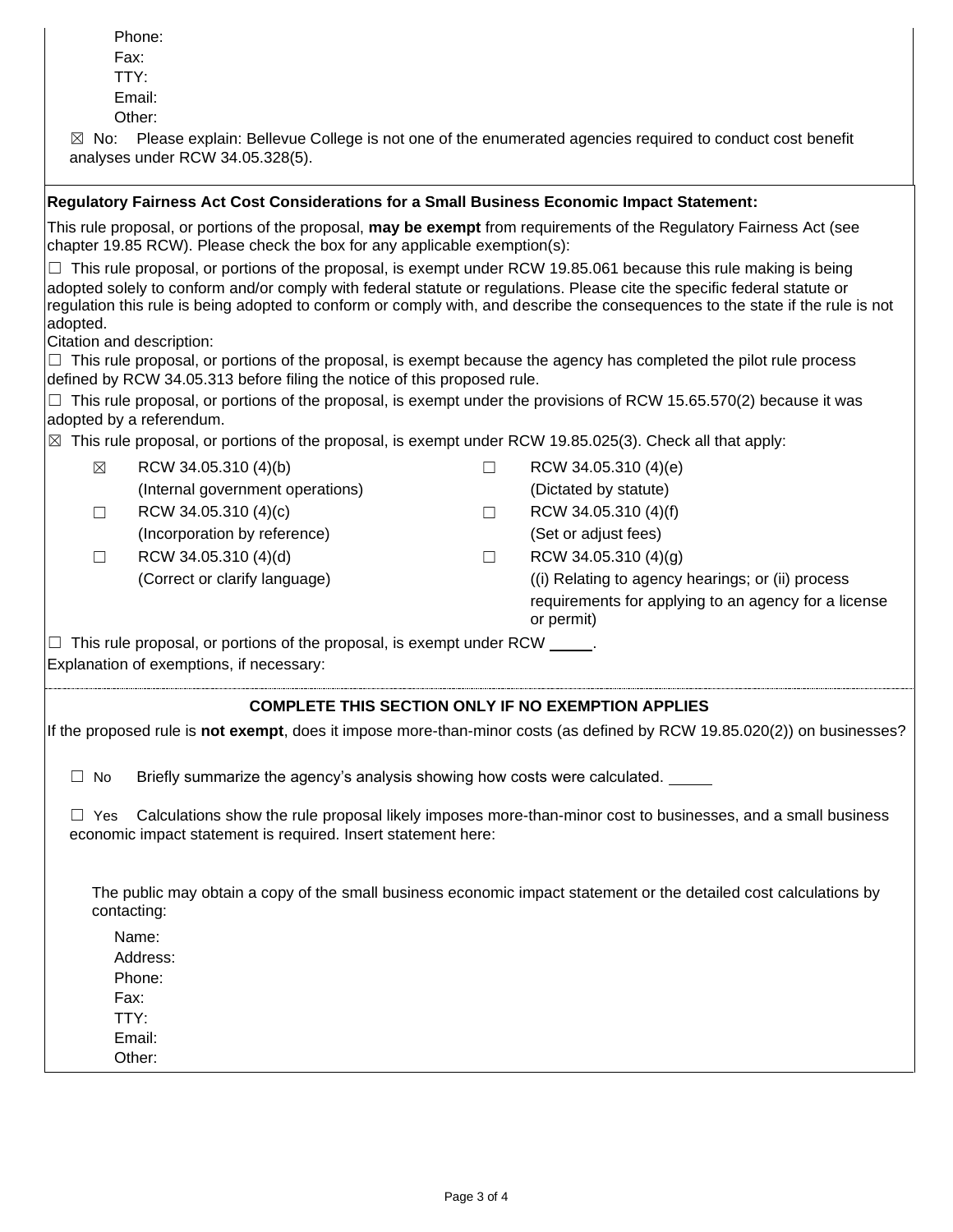|             | Phone:<br>Fax:<br>TTY:<br>Email:                                                                                               |   |                                                                                                                                                                                                                                                                                                                                                                                       |
|-------------|--------------------------------------------------------------------------------------------------------------------------------|---|---------------------------------------------------------------------------------------------------------------------------------------------------------------------------------------------------------------------------------------------------------------------------------------------------------------------------------------------------------------------------------------|
|             | Other:<br>analyses under RCW 34.05.328(5).                                                                                     |   | $\boxtimes$ No: Please explain: Bellevue College is not one of the enumerated agencies required to conduct cost benefit                                                                                                                                                                                                                                                               |
|             | Regulatory Fairness Act Cost Considerations for a Small Business Economic Impact Statement:                                    |   |                                                                                                                                                                                                                                                                                                                                                                                       |
|             | chapter 19.85 RCW). Please check the box for any applicable exemption(s):                                                      |   | This rule proposal, or portions of the proposal, may be exempt from requirements of the Regulatory Fairness Act (see                                                                                                                                                                                                                                                                  |
| adopted.    | Citation and description:                                                                                                      |   | $\Box$ This rule proposal, or portions of the proposal, is exempt under RCW 19.85.061 because this rule making is being<br>adopted solely to conform and/or comply with federal statute or regulations. Please cite the specific federal statute or<br>regulation this rule is being adopted to conform or comply with, and describe the consequences to the state if the rule is not |
|             |                                                                                                                                |   | $\Box$ This rule proposal, or portions of the proposal, is exempt because the agency has completed the pilot rule process                                                                                                                                                                                                                                                             |
|             | defined by RCW 34.05.313 before filing the notice of this proposed rule.<br>adopted by a referendum.                           |   | $\Box$ This rule proposal, or portions of the proposal, is exempt under the provisions of RCW 15.65.570(2) because it was                                                                                                                                                                                                                                                             |
|             | $\boxtimes$ This rule proposal, or portions of the proposal, is exempt under RCW 19.85.025(3). Check all that apply:           |   |                                                                                                                                                                                                                                                                                                                                                                                       |
| $\boxtimes$ | RCW 34.05.310 (4)(b)                                                                                                           | □ | RCW 34.05.310 (4)(e)                                                                                                                                                                                                                                                                                                                                                                  |
|             | (Internal government operations)                                                                                               |   | (Dictated by statute)                                                                                                                                                                                                                                                                                                                                                                 |
| $\Box$      | RCW 34.05.310 (4)(c)                                                                                                           | □ | RCW 34.05.310 (4)(f)                                                                                                                                                                                                                                                                                                                                                                  |
|             | (Incorporation by reference)                                                                                                   |   | (Set or adjust fees)                                                                                                                                                                                                                                                                                                                                                                  |
| $\Box$      | RCW 34.05.310 (4)(d)                                                                                                           | □ | RCW 34.05.310 (4)(g)                                                                                                                                                                                                                                                                                                                                                                  |
|             | (Correct or clarify language)                                                                                                  |   | (i) Relating to agency hearings; or (ii) process<br>requirements for applying to an agency for a license<br>or permit)                                                                                                                                                                                                                                                                |
|             | $\Box$ This rule proposal, or portions of the proposal, is exempt under RCW $\Box$<br>Explanation of exemptions, if necessary: |   |                                                                                                                                                                                                                                                                                                                                                                                       |
|             |                                                                                                                                |   | <b>COMPLETE THIS SECTION ONLY IF NO EXEMPTION APPLIES</b>                                                                                                                                                                                                                                                                                                                             |
|             |                                                                                                                                |   | If the proposed rule is not exempt, does it impose more-than-minor costs (as defined by RCW 19.85.020(2)) on businesses?                                                                                                                                                                                                                                                              |
| $\Box$ No   | Briefly summarize the agency's analysis showing how costs were calculated.                                                     |   |                                                                                                                                                                                                                                                                                                                                                                                       |
| $\Box$ Yes  | economic impact statement is required. Insert statement here:                                                                  |   | Calculations show the rule proposal likely imposes more-than-minor cost to businesses, and a small business                                                                                                                                                                                                                                                                           |
|             | contacting:                                                                                                                    |   | The public may obtain a copy of the small business economic impact statement or the detailed cost calculations by                                                                                                                                                                                                                                                                     |
|             | Name:<br>Address:<br>Phone:<br>Fax:<br>TTY:                                                                                    |   |                                                                                                                                                                                                                                                                                                                                                                                       |
|             | Email:<br>Other:                                                                                                               |   |                                                                                                                                                                                                                                                                                                                                                                                       |